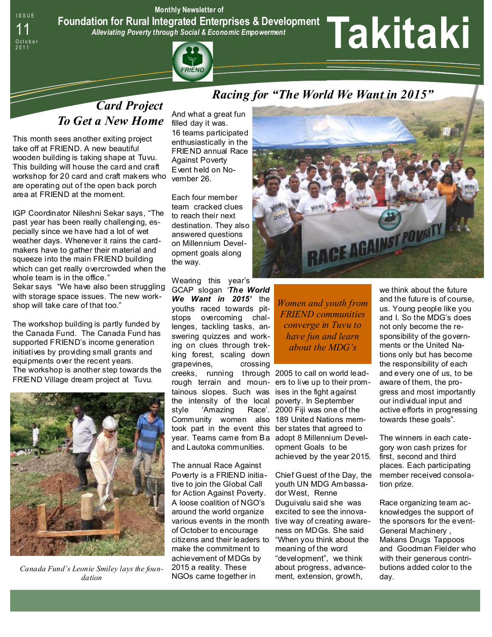I S S U E **Monthly Newsletter of Foundation for Rural Integrated Enterprises & Development**  *Alleviating Poverty through Social & Economic Empowerment* 



# **Takitaki**

## *Card Project To Get a New Home*

This month sees another exiting project take off at FRIEND. A new beautiful wooden building is taking shape at Tuvu. This building will house the card and craft workshop for 20 card and craft makers who are operating out of the open back porch area at FRIEND at the moment.

O c t o b e r<br>2011

IGP Coordinator Nileshni Sekar says, "The past year has been really challenging, especially since we have had a lot of wet weather days. Whenever it rains the cardmakers have to gather their material and squeeze into the main FRIEND building which can get really overcrowded when the whole team is in the office." Sekar says "We have also been struggling with storage space issues. The new workshop will take care of that too."

The workshop building is partly funded by the Canada Fund. The Canada Fund has supported FRIEND's income generation initiatives by providing small grants and equipments over the recent years. The workshop is another step towards the FRIEND Village dream project at Tuvu.



*Canada Fund's Leonie Smiley lays the foundation* 

And what a great fun filled day it was. 16 teams participated enthusiastically in the FRIEND annual Race Against Poverty Event held on November 26.

Each four member team cracked clues to reach their next destination. They also answered questions on Millennium Development goals along the way.

Wearing this year's GCAP slogan *'The World We Want in 2015'* the youths raced towards pitstops overcoming challenges, tackling tasks, answering quizzes and working on clues through trekking forest, scaling down grapevines, crossing creeks, running through 2005 to call on world leadrough terrain and moun-ers to live up to their promtainous slopes. Such was ises in the fight against the intensity of the local poverty. In September style 'Amazing Race'. Community women also took part in the event this ber states that agreed to year. Teams came from Ba adopt 8 Millennium Develand Lautoka communities.

The annual Race Against Poverty is a FRIEND initiative to join the Global Call for Action Against Poverty. A loose coalition of NGO's around the world organize various events in the month tive way of creating awareof October to encourage citizens and their leaders to make the commitment to achievement of MDGs by 2015 a reality. These NGOs came together in



*Women and youth from FRIEND communities converge in Tuvu to have fun and learn about the MDG's* 

2000 Fiji was one of the 189 United Nations memopment Goals to be achieved by the year 2015.

Chief Guest of the Day, the youth UN MDG Ambassador West, Renne Duguivalu said she was excited to see the innovaness on MDGs. She said "When you think about the meaning of the word "development", we think about progress, advancement, extension, growth,

we think about the future and the future is of course, us. Young people like you and I. So the MDG's does not only become the responsibility of the governments or the United Nations only but has become the responsibility of each and every one of us, to be aware of them, the progress and most importantly our individual input and active efforts in progressing towards these goals".

The winners in each category won cash prizes for first, second and third places. Each participating member received consolation prize.

Race organizing team acknowledges the support of the sponsors for the event-General Machinery , Makans Drugs Tappoos and Goodman Fielder who with their generous contributions added color to the day.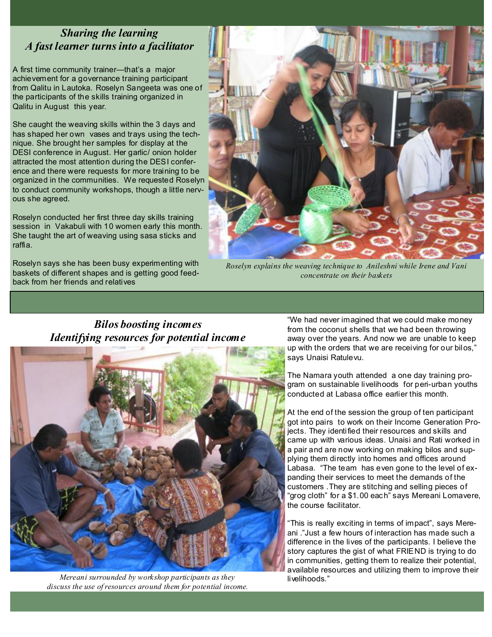## *Sharing the learning A fast learner turns into a facilitator*

A first time community trainer—that's a major achievement for a governance training participant from Qalitu in Lautoka. Roselyn Sangeeta was one of the participants of the skills training organized in Qalitu in August this year.

She caught the weaving skills within the 3 days and has shaped her own vases and trays using the technique. She brought her samples for display at the DESI conference in August. Her garlic/ onion holder attracted the most attention during the DESI conference and there were requests for more training to be organized in the communities. We requested Roselyn to conduct community workshops, though a little nervous she agreed.

Roselyn conducted her first three day skills training session in Vakabuli with 10 women early this month. She taught the art of weaving using sasa sticks and raffia.

Roselyn says she has been busy experimenting with baskets of different shapes and is getting good feedback from her friends and relatives



*Roselyn explains the weaving technique to Anileshni while Irene and Vani concentrate on their baskets* 

## *Bilos boosting incomes Identifying resources for potential income*



*Mereani surrounded by workshop participants as they discuss the use of resources around them for potential income.* 

"We had never imagined that we could make money from the coconut shells that we had been throwing away over the years. And now we are unable to keep up with the orders that we are receiving for our bilos," says Unaisi Ratulevu.

The Namara youth attended a one day training program on sustainable livelihoods for peri-urban youths conducted at Labasa office earlier this month.

At the end of the session the group of ten participant got into pairs to work on their Income Generation Projects. They identified their resources and skills and came up with various ideas. Unaisi and Rati worked in a pair and are now working on making bilos and supplying them directly into homes and offices around Labasa. "The team has even gone to the level of expanding their services to meet the demands of the customers .They are stitching and selling pieces of "grog cloth" for a \$1.00 each" says Mereani Lomavere, the course facilitator.

"This is really exciting in terms of impact", says Mereani ."Just a few hours of interaction has made such a difference in the lives of the participants. I believe the story captures the gist of what FRIEND is trying to do in communities, getting them to realize their potential, available resources and utilizing them to improve their livelihoods."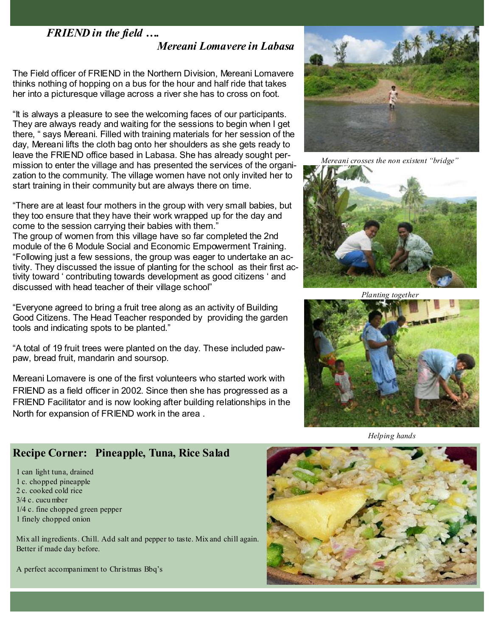#### *FRIEND in the field ….*

 *Mereani Lomavere in Labasa* 

The Field officer of FRIEND in the Northern Division, Mereani Lomavere thinks nothing of hopping on a bus for the hour and half ride that takes her into a picturesque village across a river she has to cross on foot.

"It is always a pleasure to see the welcoming faces of our participants. They are always ready and waiting for the sessions to begin when I get there, " says Mereani. Filled with training materials for her session of the day, Mereani lifts the cloth bag onto her shoulders as she gets ready to leave the FRIEND office based in Labasa. She has already sought permission to enter the village and has presented the services of the organization to the community. The village women have not only invited her to start training in their community but are always there on time.

"There are at least four mothers in the group with very small babies, but they too ensure that they have their work wrapped up for the day and come to the session carrying their babies with them." The group of women from this village have so far completed the 2nd module of the 6 Module Social and Economic Empowerment Training. "Following just a few sessions, the group was eager to undertake an activity. They discussed the issue of planting for the school as their first activity toward ' contributing towards development as good citizens ' and discussed with head teacher of their village school"

"Everyone agreed to bring a fruit tree along as an activity of Building Good Citizens. The Head Teacher responded by providing the garden tools and indicating spots to be planted."

"A total of 19 fruit trees were planted on the day. These included pawpaw, bread fruit, mandarin and soursop.

Mereani Lomavere is one of the first volunteers who started work with FRIEND as a field officer in 2002. Since then she has progressed as a FRIEND Facilitator and is now looking after building relationships in the North for expansion of FRIEND work in the area .



*Mereani crosses the non existent "bridge"* 



*Planting together* 



*Helping hands* 

## **Recipe Corner: Pineapple, Tuna, Rice Salad**

1 can light tuna, drained 1 c. chopped pineapple 2 c. cooked cold rice 3/4 c. cucu mber 1/4 c. fine chopped green pepper 1 finely chopped onion

Mix all ingredients. Chill. Add salt and pepper to taste. Mix and chill again. Better if made day before.

A perfect accompaniment to Christmas Bbq's

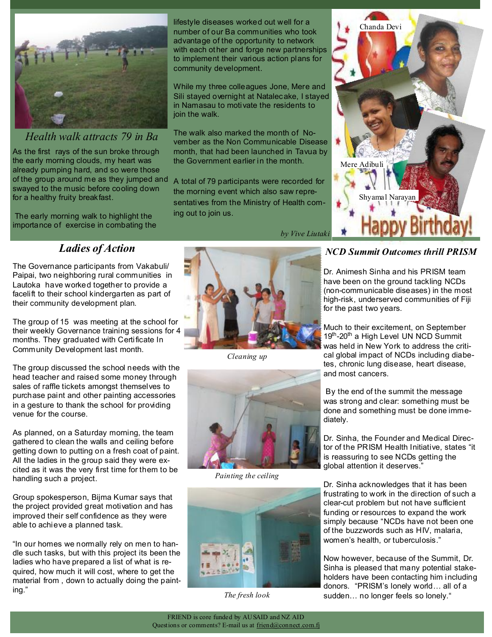

*Health walk attracts 79 in Ba* 

As the first rays of the sun broke through the early morning clouds, my heart was already pumping hard, and so were those of the group around me as they jumped and swayed to the music before cooling down for a healthy fruity breakfast.

 The early morning walk to highlight the importance of exercise in combating the

## *Ladies of Action*

The Governance participants from Vakabuli/ Paipai, two neighboring rural communities in Lautoka have worked together to provide a facelift to their school kindergarten as part of their community development plan.

The group of 15 was meeting at the school for their weekly Governance training sessions for 4 months. They graduated with Certificate In Community Development last month.

The group discussed the school needs with the head teacher and raised some money through sales of raffle tickets amongst themselves to purchase paint and other painting accessories in a gesture to thank the school for providing venue for the course.

As planned, on a Saturday moming, the team gathered to clean the walls and ceiling before getting down to putting on a fresh coat of paint. All the ladies in the group said they were excited as it was the very first time for them to be handling such a project.

Group spokesperson, Bijma Kumar says that the project provided great motivation and has improved their self confidence as they were able to achieve a planned task.

"In our homes we normally rely on men to handle such tasks, but with this project its been the ladies who have prepared a list of what is required, how much it will cost, where to get the material from , down to actually doing the painting."

lifestyle diseases worked out well for a number of our Ba communities who took advantage of the opportunity to network

to implement their various action plans for

in Namasau to motivate the residents to

The walk also marked the month of No-

the morning event which also saw repre-

the Government earlier in the month.

community development.

join the walk.

ing out to join us.

*Cleaning up* 



*Painting the ceiling* 



*The fresh look* 



#### *NCD Summit Outcomes thrill PRISM*

Dr. Animesh Sinha and his PRISM team have been on the ground tackling NCDs (non-communicable diseases) in the most high-risk, underserved communities of Fiji for the past two years.

Much to their excitement, on September 19<sup>th</sup>-20<sup>th</sup> a High Level UN NCD Summit was held in New York to address the critical global impact of NCDs including diabetes, chronic lung disease, heart disease, and most cancers.

 By the end of the summit the message was strong and clear: something must be done and something must be done immediately.

Dr. Sinha, the Founder and Medical Director of the PRISM Health Initiative, states "it is reassuring to see NCDs getting the global attention it deserves."

Dr. Sinha acknowledges that it has been frustrating to work in the direction of such a clear-cut problem but not have sufficient funding or resources to expand the work simply because "NCDs have not been one of the buzzwords such as HIV, malaria, women's health, or tuberculosis."

Now however, because of the Summit, Dr. Sinha is pleased that many potential stakeholders have been contacting him including donors. "PRISM's lonely world… all of a sudden… no longer feels so lonely."